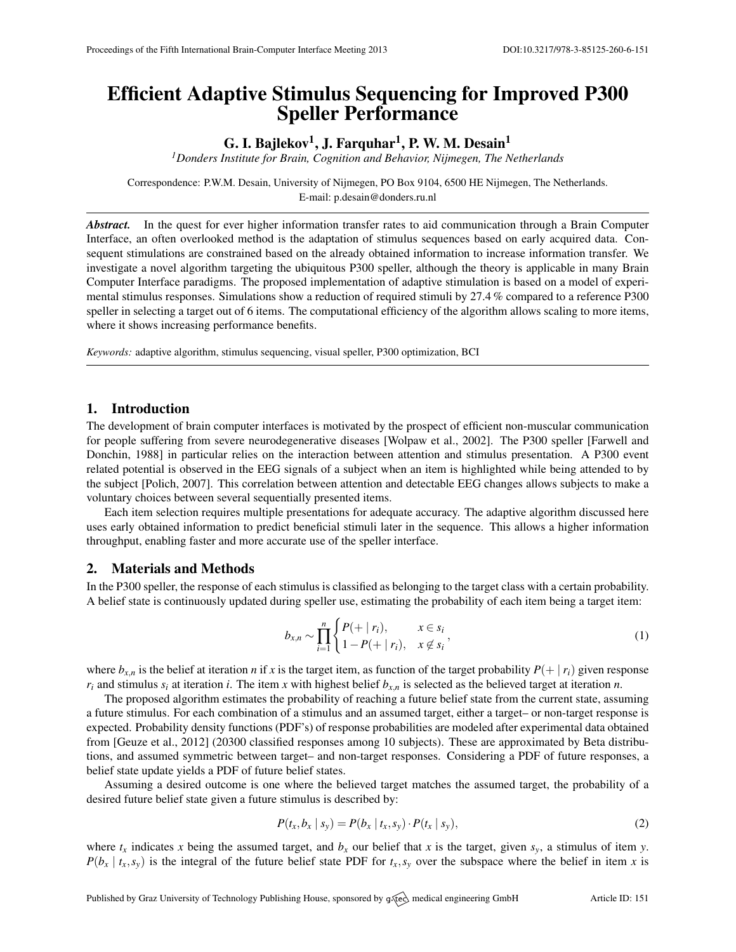# Efficient Adaptive Stimulus Sequencing for Improved P300 Speller Performance

## G. I. Bajlekov $^1$ , J. Farquhar $^1$ , P. W. M. Desain $^1$

*<sup>1</sup>Donders Institute for Brain, Cognition and Behavior, Nijmegen, The Netherlands*

Correspondence: P.W.M. Desain, University of Nijmegen, PO Box 9104, 6500 HE Nijmegen, The Netherlands. E-mail: [p.desain@donders.ru.nl](mailto:p.desain@donders.ru.nl)

*Abstract.* In the quest for ever higher information transfer rates to aid communication through a Brain Computer Interface, an often overlooked method is the adaptation of stimulus sequences based on early acquired data. Consequent stimulations are constrained based on the already obtained information to increase information transfer. We investigate a novel algorithm targeting the ubiquitous P300 speller, although the theory is applicable in many Brain Computer Interface paradigms. The proposed implementation of adaptive stimulation is based on a model of experimental stimulus responses. Simulations show a reduction of required stimuli by 27.4 % compared to a reference P300 speller in selecting a target out of 6 items. The computational efficiency of the algorithm allows scaling to more items, where it shows increasing performance benefits.

*Keywords:* adaptive algorithm, stimulus sequencing, visual speller, P300 optimization, BCI

## 1. Introduction

The development of brain computer interfaces is motivated by the prospect of efficient non-muscular communication for people suffering from severe neurodegenerative diseases [\[Wolpaw et al.,](#page-1-0) [2002\]](#page-1-0). The P300 speller [\[Farwell and](#page-1-1) [Donchin,](#page-1-1) [1988\]](#page-1-1) in particular relies on the interaction between attention and stimulus presentation. A P300 event related potential is observed in the EEG signals of a subject when an item is highlighted while being attended to by the subject [\[Polich,](#page-1-2) [2007\]](#page-1-2). This correlation between attention and detectable EEG changes allows subjects to make a voluntary choices between several sequentially presented items.

Each item selection requires multiple presentations for adequate accuracy. The adaptive algorithm discussed here uses early obtained information to predict beneficial stimuli later in the sequence. This allows a higher information throughput, enabling faster and more accurate use of the speller interface.

## 2. Materials and Methods

In the P300 speller, the response of each stimulus is classified as belonging to the target class with a certain probability. A belief state is continuously updated during speller use, estimating the probability of each item being a target item:

$$
b_{x,n} \sim \prod_{i=1}^{n} \begin{cases} P(+ \mid r_i), & x \in s_i \\ 1 - P(+ \mid r_i), & x \notin s_i \end{cases}
$$
 (1)

where  $b_{x,n}$  is the belief at iteration *n* if *x* is the target item, as function of the target probability  $P(+ | r_i)$  given response  $r_i$  and stimulus  $s_i$  at iteration *i*. The item *x* with highest belief  $b_{x,n}$  is selected as the believed target at iteration *n*.

The proposed algorithm estimates the probability of reaching a future belief state from the current state, assuming a future stimulus. For each combination of a stimulus and an assumed target, either a target– or non-target response is expected. Probability density functions (PDF's) of response probabilities are modeled after experimental data obtained from [\[Geuze et al.,](#page-1-3) [2012\]](#page-1-3) (20300 classified responses among 10 subjects). These are approximated by Beta distributions, and assumed symmetric between target– and non-target responses. Considering a PDF of future responses, a belief state update yields a PDF of future belief states.

Assuming a desired outcome is one where the believed target matches the assumed target, the probability of a desired future belief state given a future stimulus is described by:

$$
P(t_x, b_x | s_y) = P(b_x | t_x, s_y) \cdot P(t_x | s_y),
$$
\n(2)

where  $t_x$  indicates *x* being the assumed target, and  $b_x$  our belief that *x* is the target, given  $s_y$ , a stimulus of item *y*.  $P(b_x | t_x, s_y)$  is the integral of the future belief state PDF for  $t_x, s_y$  over the subspace where the belief in item *x* is